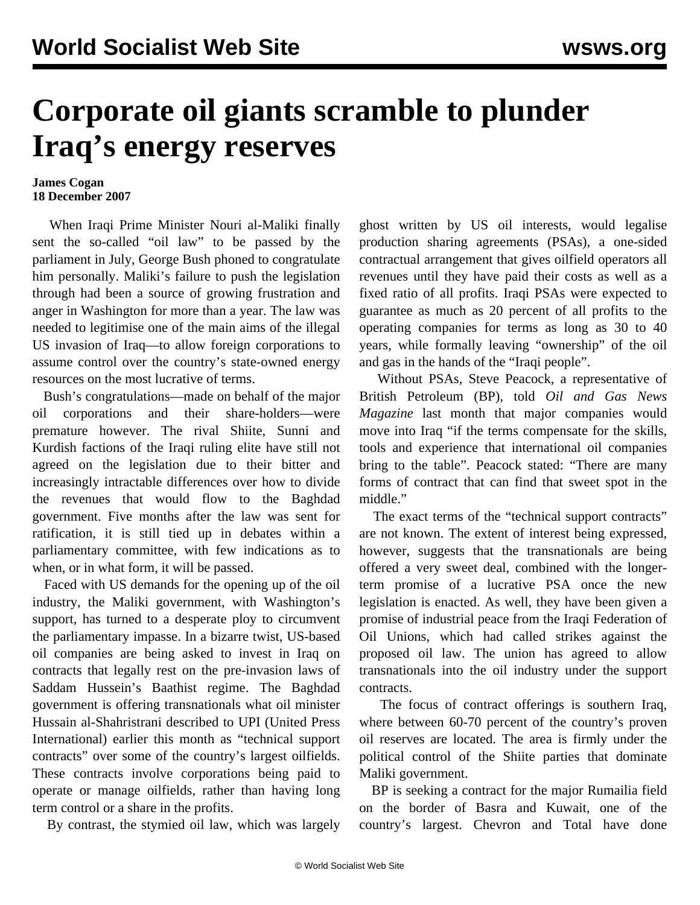## **Corporate oil giants scramble to plunder Iraq's energy reserves**

## **James Cogan 18 December 2007**

 When Iraqi Prime Minister Nouri al-Maliki finally sent the so-called "oil law" to be passed by the parliament in July, George Bush phoned to congratulate him personally. Maliki's failure to push the legislation through had been a source of growing frustration and anger in Washington for more than a year. The law was needed to legitimise one of the main aims of the illegal US invasion of Iraq—to allow foreign corporations to assume control over the country's state-owned energy resources on the most lucrative of terms.

 Bush's congratulations—made on behalf of the major oil corporations and their share-holders—were premature however. The rival Shiite, Sunni and Kurdish factions of the Iraqi ruling elite have still not agreed on the legislation due to their bitter and increasingly intractable differences over how to divide the revenues that would flow to the Baghdad government. Five months after the law was sent for ratification, it is still tied up in debates within a parliamentary committee, with few indications as to when, or in what form, it will be passed.

 Faced with US demands for the opening up of the oil industry, the Maliki government, with Washington's support, has turned to a desperate ploy to circumvent the parliamentary impasse. In a bizarre twist, US-based oil companies are being asked to invest in Iraq on contracts that legally rest on the pre-invasion laws of Saddam Hussein's Baathist regime. The Baghdad government is offering transnationals what oil minister Hussain al-Shahristrani described to UPI (United Press International) earlier this month as "technical support contracts" over some of the country's largest oilfields. These contracts involve corporations being paid to operate or manage oilfields, rather than having long term control or a share in the profits.

By contrast, the stymied oil law, which was largely

ghost written by US oil interests, would legalise production sharing agreements (PSAs), a one-sided contractual arrangement that gives oilfield operators all revenues until they have paid their costs as well as a fixed ratio of all profits. Iraqi PSAs were expected to guarantee as much as 20 percent of all profits to the operating companies for terms as long as 30 to 40 years, while formally leaving "ownership" of the oil and gas in the hands of the "Iraqi people".

 Without PSAs, Steve Peacock, a representative of British Petroleum (BP), told *Oil and Gas News Magazine* last month that major companies would move into Iraq "if the terms compensate for the skills, tools and experience that international oil companies bring to the table". Peacock stated: "There are many forms of contract that can find that sweet spot in the middle."

 The exact terms of the "technical support contracts" are not known. The extent of interest being expressed, however, suggests that the transnationals are being offered a very sweet deal, combined with the longerterm promise of a lucrative PSA once the new legislation is enacted. As well, they have been given a promise of industrial peace from the Iraqi Federation of Oil Unions, which had called strikes against the proposed oil law. The union has agreed to allow transnationals into the oil industry under the support contracts.

 The focus of contract offerings is southern Iraq, where between 60-70 percent of the country's proven oil reserves are located. The area is firmly under the political control of the Shiite parties that dominate Maliki government.

 BP is seeking a contract for the major Rumailia field on the border of Basra and Kuwait, one of the country's largest. Chevron and Total have done